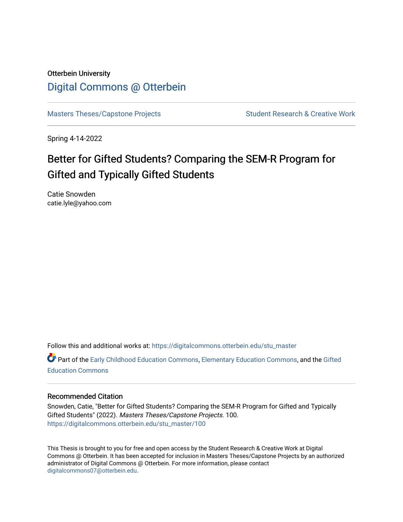## Otterbein University [Digital Commons @ Otterbein](https://digitalcommons.otterbein.edu/)

[Masters Theses/Capstone Projects](https://digitalcommons.otterbein.edu/stu_master) Student Research & Creative Work

Spring 4-14-2022

# Better for Gifted Students? Comparing the SEM-R Program for Gifted and Typically Gifted Students

Catie Snowden catie.lyle@yahoo.com

Follow this and additional works at: [https://digitalcommons.otterbein.edu/stu\\_master](https://digitalcommons.otterbein.edu/stu_master?utm_source=digitalcommons.otterbein.edu%2Fstu_master%2F100&utm_medium=PDF&utm_campaign=PDFCoverPages) 

Part of the [Early Childhood Education Commons,](https://network.bepress.com/hgg/discipline/1377?utm_source=digitalcommons.otterbein.edu%2Fstu_master%2F100&utm_medium=PDF&utm_campaign=PDFCoverPages) [Elementary Education Commons,](https://network.bepress.com/hgg/discipline/1378?utm_source=digitalcommons.otterbein.edu%2Fstu_master%2F100&utm_medium=PDF&utm_campaign=PDFCoverPages) and the [Gifted](https://network.bepress.com/hgg/discipline/1048?utm_source=digitalcommons.otterbein.edu%2Fstu_master%2F100&utm_medium=PDF&utm_campaign=PDFCoverPages)  [Education Commons](https://network.bepress.com/hgg/discipline/1048?utm_source=digitalcommons.otterbein.edu%2Fstu_master%2F100&utm_medium=PDF&utm_campaign=PDFCoverPages) 

## Recommended Citation

Snowden, Catie, "Better for Gifted Students? Comparing the SEM-R Program for Gifted and Typically Gifted Students" (2022). Masters Theses/Capstone Projects. 100. [https://digitalcommons.otterbein.edu/stu\\_master/100](https://digitalcommons.otterbein.edu/stu_master/100?utm_source=digitalcommons.otterbein.edu%2Fstu_master%2F100&utm_medium=PDF&utm_campaign=PDFCoverPages) 

This Thesis is brought to you for free and open access by the Student Research & Creative Work at Digital Commons @ Otterbein. It has been accepted for inclusion in Masters Theses/Capstone Projects by an authorized administrator of Digital Commons @ Otterbein. For more information, please contact [digitalcommons07@otterbein.edu](mailto:digitalcommons07@otterbein.edu).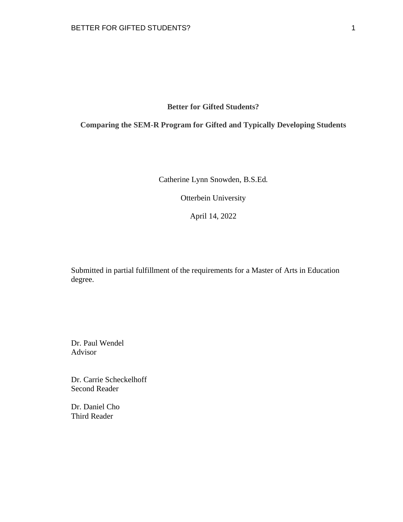**Better for Gifted Students?** 

**Comparing the SEM-R Program for Gifted and Typically Developing Students** 

Catherine Lynn Snowden, B.S.Ed.

Otterbein University

April 14, 2022

Submitted in partial fulfillment of the requirements for a Master of Arts in Education degree.

Dr. Paul Wendel Advisor

Dr. Carrie Scheckelhoff Second Reader

Dr. Daniel Cho Third Reader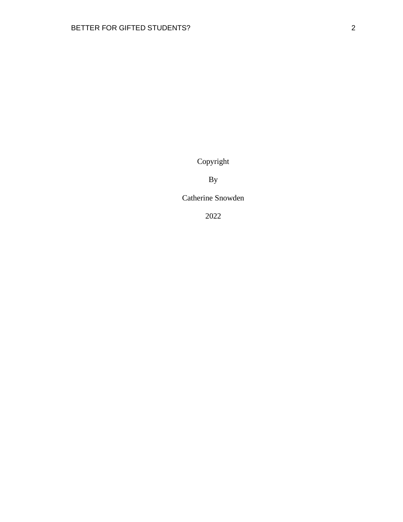Copyright

By

Catherine Snowden

2022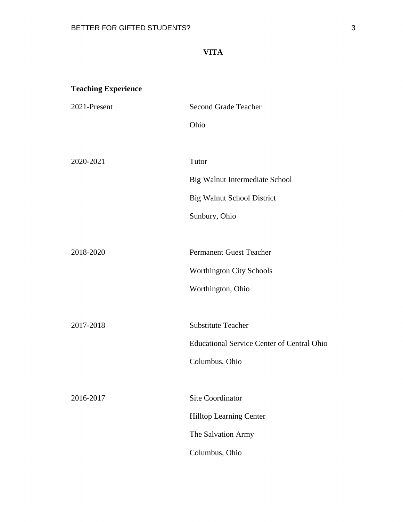## **VITA**

## **Teaching Experience**

| 2021-Present | <b>Second Grade Teacher</b>                       |
|--------------|---------------------------------------------------|
|              | Ohio                                              |
|              |                                                   |
| 2020-2021    | Tutor                                             |
|              | Big Walnut Intermediate School                    |
|              | <b>Big Walnut School District</b>                 |
|              | Sunbury, Ohio                                     |
|              |                                                   |
| 2018-2020    | <b>Permanent Guest Teacher</b>                    |
|              | Worthington City Schools                          |
|              | Worthington, Ohio                                 |
|              |                                                   |
| 2017-2018    | <b>Substitute Teacher</b>                         |
|              | <b>Educational Service Center of Central Ohio</b> |
|              | Columbus, Ohio                                    |
|              |                                                   |
| 2016-2017    | Site Coordinator                                  |
|              | <b>Hilltop Learning Center</b>                    |
|              | The Salvation Army                                |
|              | Columbus, Ohio                                    |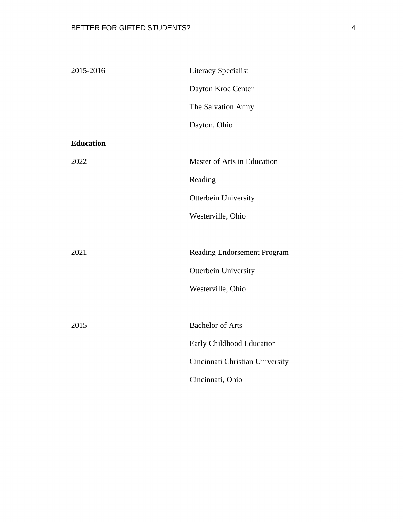| 2015-2016        | <b>Literacy Specialist</b>      |
|------------------|---------------------------------|
|                  | Dayton Kroc Center              |
|                  | The Salvation Army              |
|                  | Dayton, Ohio                    |
| <b>Education</b> |                                 |
| 2022             | Master of Arts in Education     |
|                  | Reading                         |
|                  | Otterbein University            |
|                  | Westerville, Ohio               |
|                  |                                 |
| 2021             | Reading Endorsement Program     |
|                  | Otterbein University            |
|                  | Westerville, Ohio               |
|                  |                                 |
| 2015             | <b>Bachelor of Arts</b>         |
|                  | Early Childhood Education       |
|                  | Cincinnati Christian University |
|                  | Cincinnati, Ohio                |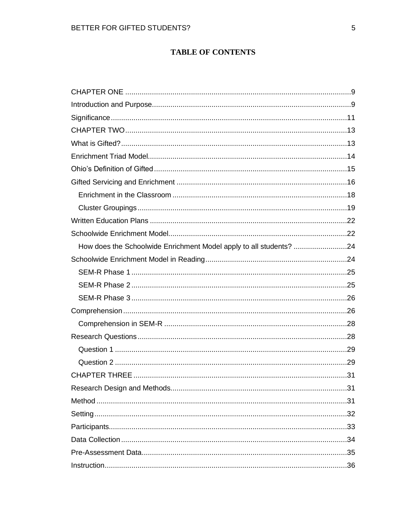## **TABLE OF CONTENTS**

| How does the Schoolwide Enrichment Model apply to all students? 24 |  |
|--------------------------------------------------------------------|--|
|                                                                    |  |
|                                                                    |  |
|                                                                    |  |
|                                                                    |  |
|                                                                    |  |
|                                                                    |  |
|                                                                    |  |
|                                                                    |  |
|                                                                    |  |
|                                                                    |  |
|                                                                    |  |
|                                                                    |  |
|                                                                    |  |
|                                                                    |  |
|                                                                    |  |
|                                                                    |  |
|                                                                    |  |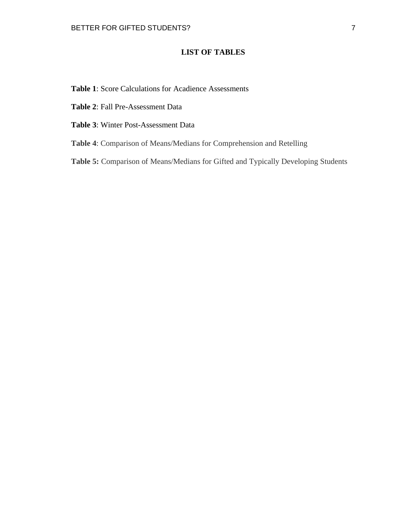## **LIST OF TABLES**

- **Table 1**: Score Calculations for Acadience Assessments
- **Table 2**: Fall Pre-Assessment Data
- **Table 3**: Winter Post-Assessment Data
- **Table 4**: Comparison of Means/Medians for Comprehension and Retelling
- **Table 5:** Comparison of Means/Medians for Gifted and Typically Developing Students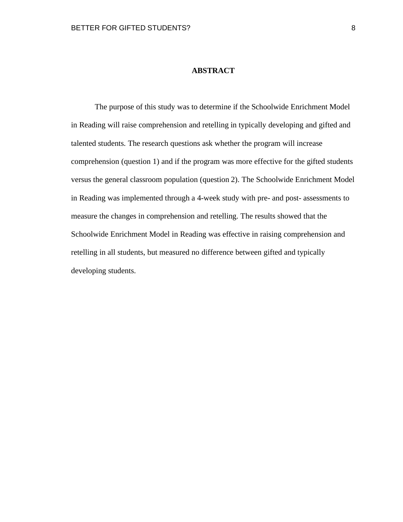## **ABSTRACT**

The purpose of this study was to determine if the Schoolwide Enrichment Model in Reading will raise comprehension and retelling in typically developing and gifted and talented students. The research questions ask whether the program will increase comprehension (question 1) and if the program was more effective for the gifted students versus the general classroom population (question 2). The Schoolwide Enrichment Model in Reading was implemented through a 4-week study with pre- and post- assessments to measure the changes in comprehension and retelling. The results showed that the Schoolwide Enrichment Model in Reading was effective in raising comprehension and retelling in all students, but measured no difference between gifted and typically developing students.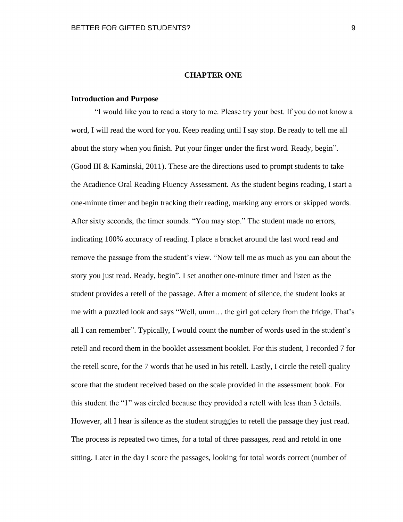#### **CHAPTER ONE**

#### <span id="page-9-1"></span><span id="page-9-0"></span>**Introduction and Purpose**

"I would like you to read a story to me. Please try your best. If you do not know a word, I will read the word for you. Keep reading until I say stop. Be ready to tell me all about the story when you finish. Put your finger under the first word. Ready, begin". (Good III & Kaminski, 2011). These are the directions used to prompt students to take the Acadience Oral Reading Fluency Assessment. As the student begins reading, I start a one-minute timer and begin tracking their reading, marking any errors or skipped words. After sixty seconds, the timer sounds. "You may stop." The student made no errors, indicating 100% accuracy of reading. I place a bracket around the last word read and remove the passage from the student's view. "Now tell me as much as you can about the story you just read. Ready, begin". I set another one-minute timer and listen as the student provides a retell of the passage. After a moment of silence, the student looks at me with a puzzled look and says "Well, umm… the girl got celery from the fridge. That's all I can remember". Typically, I would count the number of words used in the student's retell and record them in the booklet assessment booklet. For this student, I recorded 7 for the retell score, for the 7 words that he used in his retell. Lastly, I circle the retell quality score that the student received based on the scale provided in the assessment book. For this student the "1" was circled because they provided a retell with less than 3 details. However, all I hear is silence as the student struggles to retell the passage they just read. The process is repeated two times, for a total of three passages, read and retold in one sitting. Later in the day I score the passages, looking for total words correct (number of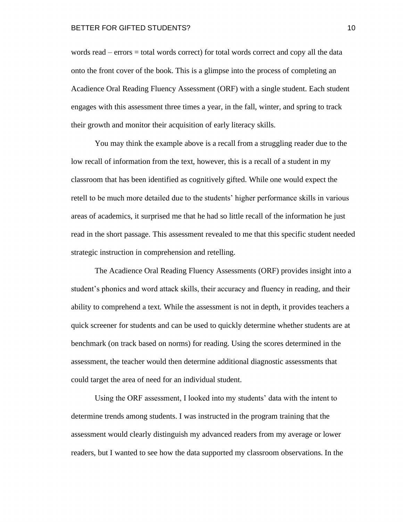words read – errors = total words correct) for total words correct and copy all the data onto the front cover of the book. This is a glimpse into the process of completing an Acadience Oral Reading Fluency Assessment (ORF) with a single student. Each student engages with this assessment three times a year, in the fall, winter, and spring to track their growth and monitor their acquisition of early literacy skills.

You may think the example above is a recall from a struggling reader due to the low recall of information from the text, however, this is a recall of a student in my classroom that has been identified as cognitively gifted. While one would expect the retell to be much more detailed due to the students' higher performance skills in various areas of academics, it surprised me that he had so little recall of the information he just read in the short passage. This assessment revealed to me that this specific student needed strategic instruction in comprehension and retelling.

The Acadience Oral Reading Fluency Assessments (ORF) provides insight into a student's phonics and word attack skills, their accuracy and fluency in reading, and their ability to comprehend a text. While the assessment is not in depth, it provides teachers a quick screener for students and can be used to quickly determine whether students are at benchmark (on track based on norms) for reading. Using the scores determined in the assessment, the teacher would then determine additional diagnostic assessments that could target the area of need for an individual student.

Using the ORF assessment, I looked into my students' data with the intent to determine trends among students. I was instructed in the program training that the assessment would clearly distinguish my advanced readers from my average or lower readers, but I wanted to see how the data supported my classroom observations. In the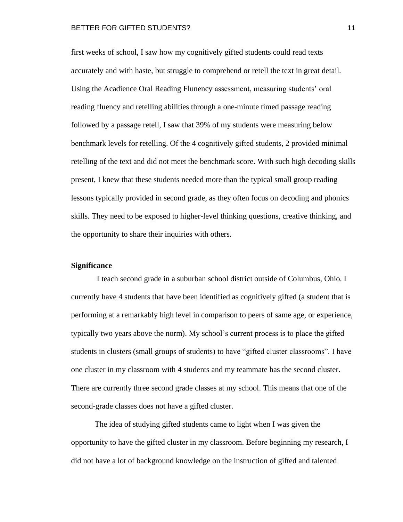first weeks of school, I saw how my cognitively gifted students could read texts accurately and with haste, but struggle to comprehend or retell the text in great detail. Using the Acadience Oral Reading Flunency assessment, measuring students' oral reading fluency and retelling abilities through a one-minute timed passage reading followed by a passage retell, I saw that 39% of my students were measuring below benchmark levels for retelling. Of the 4 cognitively gifted students, 2 provided minimal retelling of the text and did not meet the benchmark score. With such high decoding skills present, I knew that these students needed more than the typical small group reading lessons typically provided in second grade, as they often focus on decoding and phonics skills. They need to be exposed to higher-level thinking questions, creative thinking, and the opportunity to share their inquiries with others.

## <span id="page-11-0"></span>**Significance**

I teach second grade in a suburban school district outside of Columbus, Ohio. I currently have 4 students that have been identified as cognitively gifted (a student that is performing at a remarkably high level in comparison to peers of same age, or experience, typically two years above the norm). My school's current process is to place the gifted students in clusters (small groups of students) to have "gifted cluster classrooms". I have one cluster in my classroom with 4 students and my teammate has the second cluster. There are currently three second grade classes at my school. This means that one of the second-grade classes does not have a gifted cluster.

The idea of studying gifted students came to light when I was given the opportunity to have the gifted cluster in my classroom. Before beginning my research, I did not have a lot of background knowledge on the instruction of gifted and talented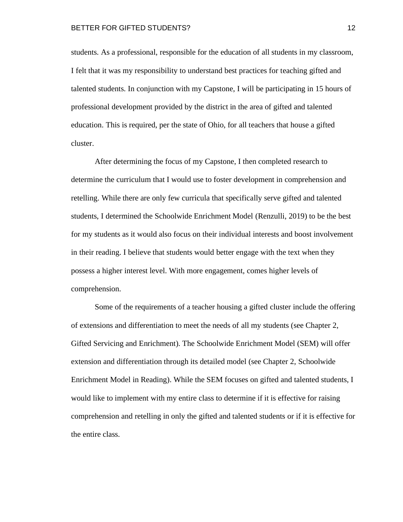students. As a professional, responsible for the education of all students in my classroom, I felt that it was my responsibility to understand best practices for teaching gifted and talented students. In conjunction with my Capstone, I will be participating in 15 hours of professional development provided by the district in the area of gifted and talented education. This is required, per the state of Ohio, for all teachers that house a gifted cluster.

After determining the focus of my Capstone, I then completed research to determine the curriculum that I would use to foster development in comprehension and retelling. While there are only few curricula that specifically serve gifted and talented students, I determined the Schoolwide Enrichment Model (Renzulli, 2019) to be the best for my students as it would also focus on their individual interests and boost involvement in their reading. I believe that students would better engage with the text when they possess a higher interest level. With more engagement, comes higher levels of comprehension.

Some of the requirements of a teacher housing a gifted cluster include the offering of extensions and differentiation to meet the needs of all my students (see Chapter 2, Gifted Servicing and Enrichment). The Schoolwide Enrichment Model (SEM) will offer extension and differentiation through its detailed model (see Chapter 2, Schoolwide Enrichment Model in Reading). While the SEM focuses on gifted and talented students, I would like to implement with my entire class to determine if it is effective for raising comprehension and retelling in only the gifted and talented students or if it is effective for the entire class.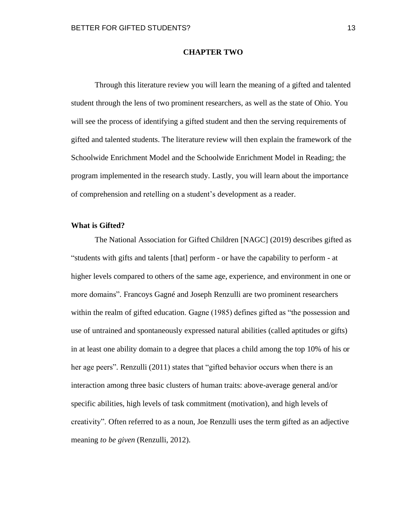#### **CHAPTER TWO**

<span id="page-13-0"></span>Through this literature review you will learn the meaning of a gifted and talented student through the lens of two prominent researchers, as well as the state of Ohio. You will see the process of identifying a gifted student and then the serving requirements of gifted and talented students. The literature review will then explain the framework of the Schoolwide Enrichment Model and the Schoolwide Enrichment Model in Reading; the program implemented in the research study. Lastly, you will learn about the importance of comprehension and retelling on a student's development as a reader.

## <span id="page-13-1"></span>**What is Gifted?**

The National Association for Gifted Children [NAGC] (2019) describes gifted as "students with gifts and talents [that] perform - or have the capability to perform - at higher levels compared to others of the same age, experience, and environment in one or more domains". Francoys Gagné and Joseph Renzulli are two prominent researchers within the realm of gifted education. Gagne (1985) defines gifted as "the possession and use of untrained and spontaneously expressed natural abilities (called aptitudes or gifts) in at least one ability domain to a degree that places a child among the top 10% of his or her age peers". Renzulli (2011) states that "gifted behavior occurs when there is an interaction among three basic clusters of human traits: above-average general and/or specific abilities, high levels of task commitment (motivation), and high levels of creativity". Often referred to as a noun, Joe Renzulli uses the term gifted as an adjective meaning *to be given* (Renzulli, 2012).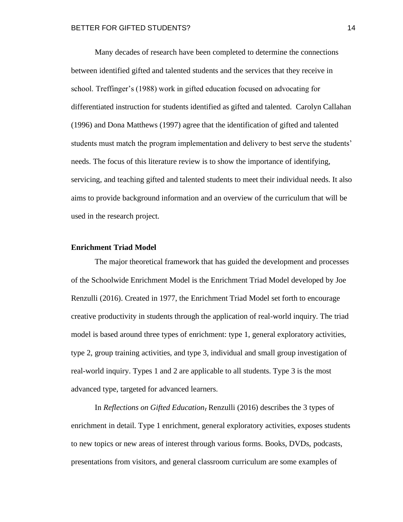Many decades of research have been completed to determine the connections between identified gifted and talented students and the services that they receive in school. Treffinger's (1988) work in gifted education focused on advocating for differentiated instruction for students identified as gifted and talented. Carolyn Callahan (1996) and Dona Matthews (1997) agree that the identification of gifted and talented students must match the program implementation and delivery to best serve the students' needs. The focus of this literature review is to show the importance of identifying, servicing, and teaching gifted and talented students to meet their individual needs. It also aims to provide background information and an overview of the curriculum that will be used in the research project.

#### <span id="page-14-0"></span>**Enrichment Triad Model**

The major theoretical framework that has guided the development and processes of the Schoolwide Enrichment Model is the Enrichment Triad Model developed by Joe Renzulli (2016). Created in 1977, the Enrichment Triad Model set forth to encourage creative productivity in students through the application of real-world inquiry. The triad model is based around three types of enrichment: type 1, general exploratory activities, type 2, group training activities, and type 3, individual and small group investigation of real-world inquiry. Types 1 and 2 are applicable to all students. Type 3 is the most advanced type, targeted for advanced learners.

In *Reflections on Gifted Education*, Renzulli (2016) describes the 3 types of enrichment in detail. Type 1 enrichment, general exploratory activities, exposes students to new topics or new areas of interest through various forms. Books, DVDs, podcasts, presentations from visitors, and general classroom curriculum are some examples of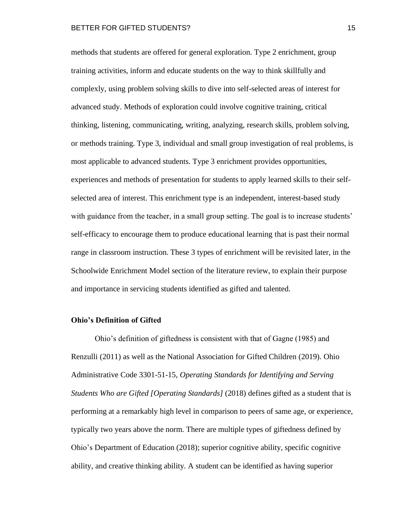methods that students are offered for general exploration. Type 2 enrichment, group training activities, inform and educate students on the way to think skillfully and complexly, using problem solving skills to dive into self-selected areas of interest for advanced study. Methods of exploration could involve cognitive training, critical thinking, listening, communicating, writing, analyzing, research skills, problem solving, or methods training. Type 3, individual and small group investigation of real problems, is most applicable to advanced students. Type 3 enrichment provides opportunities, experiences and methods of presentation for students to apply learned skills to their selfselected area of interest. This enrichment type is an independent, interest-based study with guidance from the teacher, in a small group setting. The goal is to increase students' self-efficacy to encourage them to produce educational learning that is past their normal range in classroom instruction. These 3 types of enrichment will be revisited later, in the Schoolwide Enrichment Model section of the literature review, to explain their purpose and importance in servicing students identified as gifted and talented.

#### <span id="page-15-0"></span>**Ohio's Definition of Gifted**

Ohio's definition of giftedness is consistent with that of Gagne (1985) and Renzulli (2011) as well as the National Association for Gifted Children (2019). Ohio Administrative Code 3301-51-15, *Operating Standards for Identifying and Serving Students Who are Gifted [Operating Standards]* (2018) defines gifted as a student that is performing at a remarkably high level in comparison to peers of same age, or experience, typically two years above the norm. There are multiple types of giftedness defined by Ohio's Department of Education (2018); superior cognitive ability, specific cognitive ability, and creative thinking ability. A student can be identified as having superior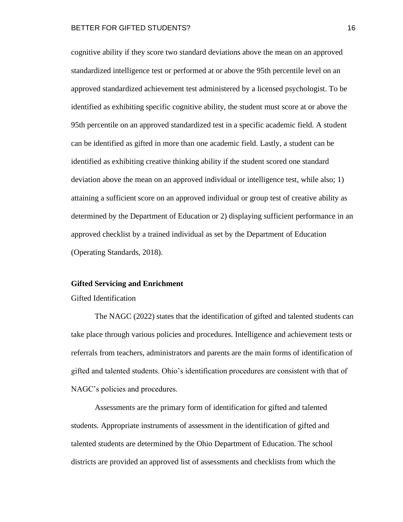cognitive ability if they score two standard deviations above the mean on an approved standardized intelligence test or performed at or above the 95th percentile level on an approved standardized achievement test administered by a licensed psychologist. To be identified as exhibiting specific cognitive ability, the student must score at or above the 95th percentile on an approved standardized test in a specific academic field. A student can be identified as gifted in more than one academic field. Lastly, a student can be identified as exhibiting creative thinking ability if the student scored one standard deviation above the mean on an approved individual or intelligence test, while also; 1) attaining a sufficient score on an approved individual or group test of creative ability as determined by the Department of Education or 2) displaying sufficient performance in an approved checklist by a trained individual as set by the Department of Education (Operating Standards, 2018).

#### <span id="page-16-0"></span>**Gifted Servicing and Enrichment**

#### Gifted Identification

The NAGC (2022) states that the identification of gifted and talented students can take place through various policies and procedures. Intelligence and achievement tests or referrals from teachers, administrators and parents are the main forms of identification of gifted and talented students. Ohio's identification procedures are consistent with that of NAGC's policies and procedures.

Assessments are the primary form of identification for gifted and talented students. Appropriate instruments of assessment in the identification of gifted and talented students are determined by the Ohio Department of Education. The school districts are provided an approved list of assessments and checklists from which the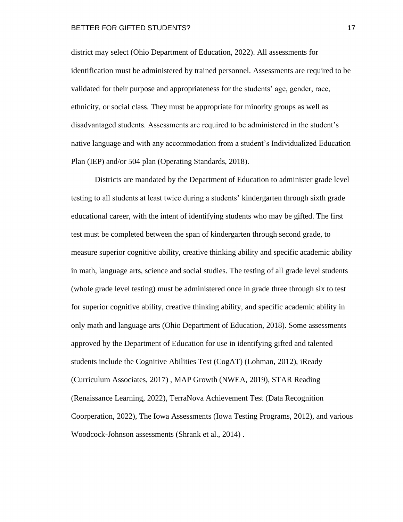district may select (Ohio Department of Education, 2022). All assessments for identification must be administered by trained personnel. Assessments are required to be validated for their purpose and appropriateness for the students' age, gender, race, ethnicity, or social class. They must be appropriate for minority groups as well as disadvantaged students. Assessments are required to be administered in the student's native language and with any accommodation from a student's Individualized Education Plan (IEP) and/or 504 plan (Operating Standards, 2018).

Districts are mandated by the Department of Education to administer grade level testing to all students at least twice during a students' kindergarten through sixth grade educational career, with the intent of identifying students who may be gifted. The first test must be completed between the span of kindergarten through second grade, to measure superior cognitive ability, creative thinking ability and specific academic ability in math, language arts, science and social studies. The testing of all grade level students (whole grade level testing) must be administered once in grade three through six to test for superior cognitive ability, creative thinking ability, and specific academic ability in only math and language arts (Ohio Department of Education, 2018). Some assessments approved by the Department of Education for use in identifying gifted and talented students include the Cognitive Abilities Test (CogAT) (Lohman, 2012), iReady (Curriculum Associates, 2017) , MAP Growth (NWEA, 2019), STAR Reading (Renaissance Learning, 2022), TerraNova Achievement Test (Data Recognition Coorperation, 2022), The Iowa Assessments (Iowa Testing Programs, 2012), and various Woodcock-Johnson assessments (Shrank et al., 2014) .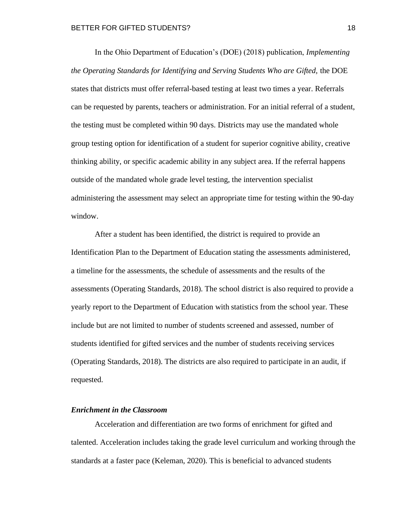In the Ohio Department of Education's (DOE) (2018) publication, *Implementing the Operating Standards for Identifying and Serving Students Who are Gifted,* the DOE states that districts must offer referral-based testing at least two times a year. Referrals can be requested by parents, teachers or administration. For an initial referral of a student, the testing must be completed within 90 days. Districts may use the mandated whole group testing option for identification of a student for superior cognitive ability, creative thinking ability, or specific academic ability in any subject area. If the referral happens outside of the mandated whole grade level testing, the intervention specialist administering the assessment may select an appropriate time for testing within the 90-day window.

After a student has been identified, the district is required to provide an Identification Plan to the Department of Education stating the assessments administered, a timeline for the assessments, the schedule of assessments and the results of the assessments (Operating Standards, 2018). The school district is also required to provide a yearly report to the Department of Education with statistics from the school year. These include but are not limited to number of students screened and assessed, number of students identified for gifted services and the number of students receiving services (Operating Standards, 2018). The districts are also required to participate in an audit, if requested.

## <span id="page-18-0"></span>*Enrichment in the Classroom*

Acceleration and differentiation are two forms of enrichment for gifted and talented. Acceleration includes taking the grade level curriculum and working through the standards at a faster pace (Keleman, 2020). This is beneficial to advanced students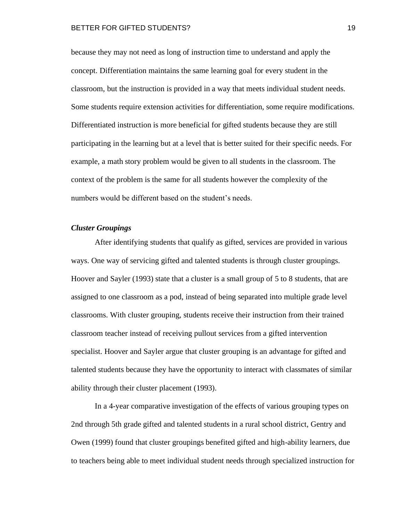because they may not need as long of instruction time to understand and apply the concept. Differentiation maintains the same learning goal for every student in the classroom, but the instruction is provided in a way that meets individual student needs. Some students require extension activities for differentiation, some require modifications. Differentiated instruction is more beneficial for gifted students because they are still participating in the learning but at a level that is better suited for their specific needs. For example, a math story problem would be given to all students in the classroom. The context of the problem is the same for all students however the complexity of the numbers would be different based on the student's needs.

## <span id="page-19-0"></span>*Cluster Groupings*

After identifying students that qualify as gifted, services are provided in various ways. One way of servicing gifted and talented students is through cluster groupings. Hoover and Sayler (1993) state that a cluster is a small group of 5 to 8 students, that are assigned to one classroom as a pod, instead of being separated into multiple grade level classrooms. With cluster grouping, students receive their instruction from their trained classroom teacher instead of receiving pullout services from a gifted intervention specialist. Hoover and Sayler argue that cluster grouping is an advantage for gifted and talented students because they have the opportunity to interact with classmates of similar ability through their cluster placement (1993).

In a 4-year comparative investigation of the effects of various grouping types on 2nd through 5th grade gifted and talented students in a rural school district, Gentry and Owen (1999) found that cluster groupings benefited gifted and high-ability learners, due to teachers being able to meet individual student needs through specialized instruction for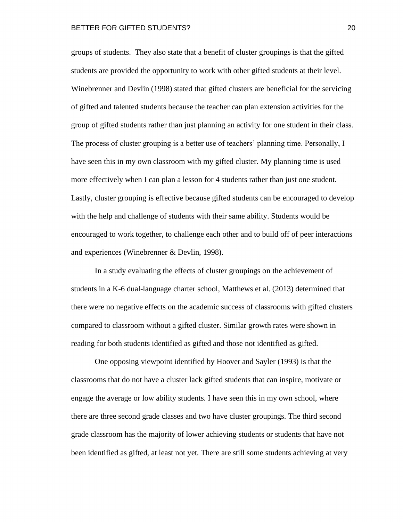groups of students. They also state that a benefit of cluster groupings is that the gifted students are provided the opportunity to work with other gifted students at their level. Winebrenner and Devlin (1998) stated that gifted clusters are beneficial for the servicing of gifted and talented students because the teacher can plan extension activities for the group of gifted students rather than just planning an activity for one student in their class. The process of cluster grouping is a better use of teachers' planning time. Personally, I have seen this in my own classroom with my gifted cluster. My planning time is used more effectively when I can plan a lesson for 4 students rather than just one student. Lastly, cluster grouping is effective because gifted students can be encouraged to develop with the help and challenge of students with their same ability. Students would be encouraged to work together, to challenge each other and to build off of peer interactions and experiences (Winebrenner & Devlin, 1998).

In a study evaluating the effects of cluster groupings on the achievement of students in a K-6 dual-language charter school, Matthews et al. (2013) determined that there were no negative effects on the academic success of classrooms with gifted clusters compared to classroom without a gifted cluster. Similar growth rates were shown in reading for both students identified as gifted and those not identified as gifted.

One opposing viewpoint identified by Hoover and Sayler (1993) is that the classrooms that do not have a cluster lack gifted students that can inspire, motivate or engage the average or low ability students. I have seen this in my own school, where there are three second grade classes and two have cluster groupings. The third second grade classroom has the majority of lower achieving students or students that have not been identified as gifted, at least not yet. There are still some students achieving at very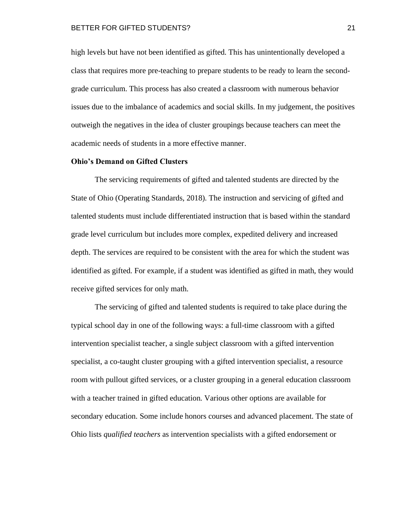high levels but have not been identified as gifted. This has unintentionally developed a class that requires more pre-teaching to prepare students to be ready to learn the secondgrade curriculum. This process has also created a classroom with numerous behavior issues due to the imbalance of academics and social skills. In my judgement, the positives outweigh the negatives in the idea of cluster groupings because teachers can meet the academic needs of students in a more effective manner.

#### **Ohio's Demand on Gifted Clusters**

The servicing requirements of gifted and talented students are directed by the State of Ohio (Operating Standards, 2018). The instruction and servicing of gifted and talented students must include differentiated instruction that is based within the standard grade level curriculum but includes more complex, expedited delivery and increased depth. The services are required to be consistent with the area for which the student was identified as gifted. For example, if a student was identified as gifted in math, they would receive gifted services for only math.

The servicing of gifted and talented students is required to take place during the typical school day in one of the following ways: a full-time classroom with a gifted intervention specialist teacher, a single subject classroom with a gifted intervention specialist, a co-taught cluster grouping with a gifted intervention specialist, a resource room with pullout gifted services, or a cluster grouping in a general education classroom with a teacher trained in gifted education. Various other options are available for secondary education. Some include honors courses and advanced placement. The state of Ohio lists *qualified teachers* as intervention specialists with a gifted endorsement or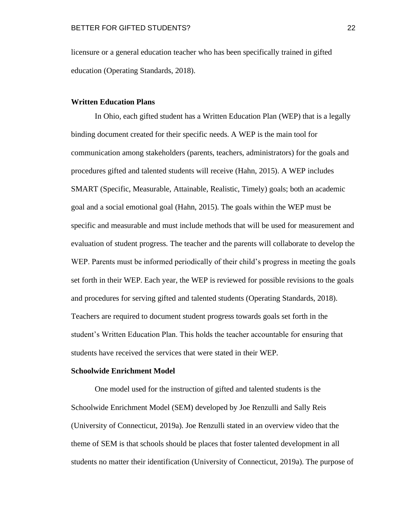licensure or a general education teacher who has been specifically trained in gifted education (Operating Standards, 2018).

## <span id="page-22-0"></span>**Written Education Plans**

In Ohio, each gifted student has a Written Education Plan (WEP) that is a legally binding document created for their specific needs. A WEP is the main tool for communication among stakeholders (parents, teachers, administrators) for the goals and procedures gifted and talented students will receive (Hahn, 2015). A WEP includes SMART (Specific, Measurable, Attainable, Realistic, Timely) goals; both an academic goal and a social emotional goal (Hahn, 2015). The goals within the WEP must be specific and measurable and must include methods that will be used for measurement and evaluation of student progress. The teacher and the parents will collaborate to develop the WEP. Parents must be informed periodically of their child's progress in meeting the goals set forth in their WEP. Each year, the WEP is reviewed for possible revisions to the goals and procedures for serving gifted and talented students (Operating Standards, 2018). Teachers are required to document student progress towards goals set forth in the student's Written Education Plan. This holds the teacher accountable for ensuring that students have received the services that were stated in their WEP.

#### <span id="page-22-1"></span>**Schoolwide Enrichment Model**

One model used for the instruction of gifted and talented students is the Schoolwide Enrichment Model (SEM) developed by Joe Renzulli and Sally Reis (University of Connecticut, 2019a). Joe Renzulli stated in an overview video that the theme of SEM is that schools should be places that foster talented development in all students no matter their identification (University of Connecticut, 2019a). The purpose of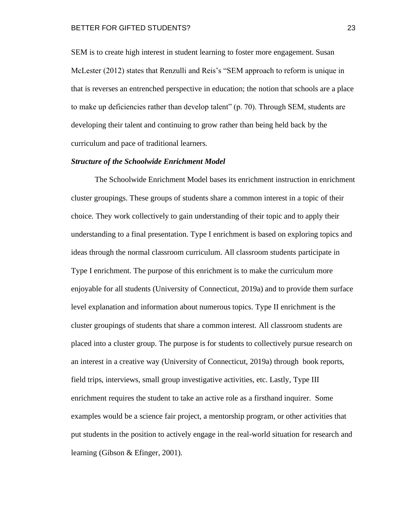SEM is to create high interest in student learning to foster more engagement. Susan McLester (2012) states that Renzulli and Reis's "SEM approach to reform is unique in that is reverses an entrenched perspective in education; the notion that schools are a place to make up deficiencies rather than develop talent" (p. 70). Through SEM, students are developing their talent and continuing to grow rather than being held back by the curriculum and pace of traditional learners.

#### *Structure of the Schoolwide Enrichment Model*

The Schoolwide Enrichment Model bases its enrichment instruction in enrichment cluster groupings. These groups of students share a common interest in a topic of their choice. They work collectively to gain understanding of their topic and to apply their understanding to a final presentation. Type I enrichment is based on exploring topics and ideas through the normal classroom curriculum. All classroom students participate in Type I enrichment. The purpose of this enrichment is to make the curriculum more enjoyable for all students (University of Connecticut, 2019a) and to provide them surface level explanation and information about numerous topics. Type II enrichment is the cluster groupings of students that share a common interest. All classroom students are placed into a cluster group. The purpose is for students to collectively pursue research on an interest in a creative way (University of Connecticut, 2019a) through book reports, field trips, interviews, small group investigative activities, etc. Lastly, Type III enrichment requires the student to take an active role as a firsthand inquirer. Some examples would be a science fair project, a mentorship program, or other activities that put students in the position to actively engage in the real-world situation for research and learning (Gibson & Efinger, 2001).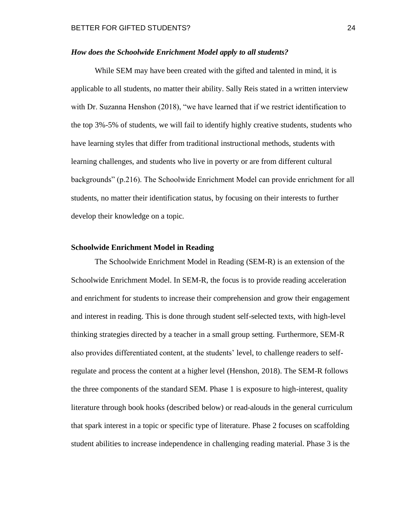### <span id="page-24-0"></span>*How does the Schoolwide Enrichment Model apply to all students?*

While SEM may have been created with the gifted and talented in mind, it is applicable to all students, no matter their ability. Sally Reis stated in a written interview with Dr. Suzanna Henshon (2018), "we have learned that if we restrict identification to the top 3%-5% of students, we will fail to identify highly creative students, students who have learning styles that differ from traditional instructional methods, students with learning challenges, and students who live in poverty or are from different cultural backgrounds" (p.216). The Schoolwide Enrichment Model can provide enrichment for all students, no matter their identification status, by focusing on their interests to further develop their knowledge on a topic.

#### <span id="page-24-1"></span>**Schoolwide Enrichment Model in Reading**

The Schoolwide Enrichment Model in Reading (SEM-R) is an extension of the Schoolwide Enrichment Model. In SEM-R, the focus is to provide reading acceleration and enrichment for students to increase their comprehension and grow their engagement and interest in reading. This is done through student self-selected texts, with high-level thinking strategies directed by a teacher in a small group setting. Furthermore, SEM-R also provides differentiated content, at the students' level, to challenge readers to selfregulate and process the content at a higher level (Henshon, 2018). The SEM-R follows the three components of the standard SEM. Phase 1 is exposure to high-interest, quality literature through book hooks (described below) or read-alouds in the general curriculum that spark interest in a topic or specific type of literature. Phase 2 focuses on scaffolding student abilities to increase independence in challenging reading material. Phase 3 is the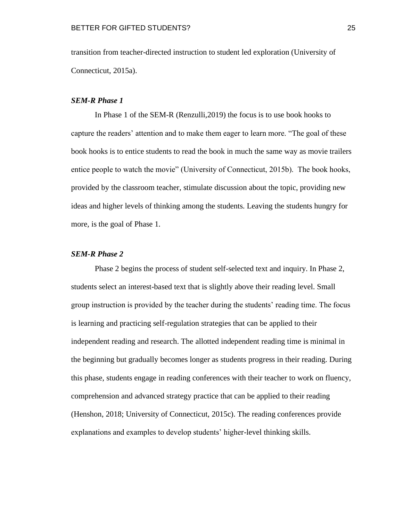transition from teacher-directed instruction to student led exploration (University of Connecticut, 2015a).

#### <span id="page-25-0"></span>*SEM-R Phase 1*

In Phase 1 of the SEM-R (Renzulli,2019) the focus is to use book hooks to capture the readers' attention and to make them eager to learn more. "The goal of these book hooks is to entice students to read the book in much the same way as movie trailers entice people to watch the movie" (University of Connecticut, 2015b). The book hooks, provided by the classroom teacher, stimulate discussion about the topic, providing new ideas and higher levels of thinking among the students. Leaving the students hungry for more, is the goal of Phase 1.

## <span id="page-25-1"></span>*SEM-R Phase 2*

Phase 2 begins the process of student self-selected text and inquiry. In Phase 2, students select an interest-based text that is slightly above their reading level. Small group instruction is provided by the teacher during the students' reading time. The focus is learning and practicing self-regulation strategies that can be applied to their independent reading and research. The allotted independent reading time is minimal in the beginning but gradually becomes longer as students progress in their reading. During this phase, students engage in reading conferences with their teacher to work on fluency, comprehension and advanced strategy practice that can be applied to their reading (Henshon, 2018; University of Connecticut, 2015c). The reading conferences provide explanations and examples to develop students' higher-level thinking skills.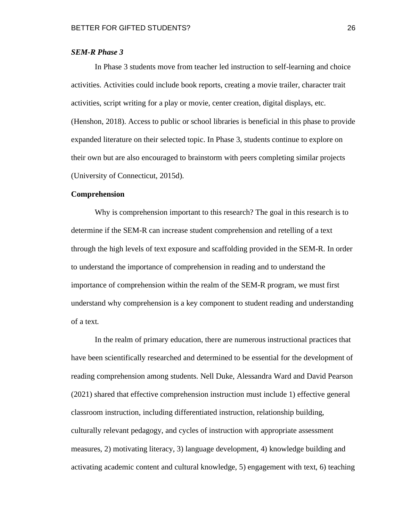### <span id="page-26-0"></span>*SEM-R Phase 3*

In Phase 3 students move from teacher led instruction to self-learning and choice activities. Activities could include book reports, creating a movie trailer, character trait activities, script writing for a play or movie, center creation, digital displays, etc. (Henshon, 2018). Access to public or school libraries is beneficial in this phase to provide expanded literature on their selected topic. In Phase 3, students continue to explore on their own but are also encouraged to brainstorm with peers completing similar projects (University of Connecticut, 2015d).

#### <span id="page-26-1"></span>**Comprehension**

Why is comprehension important to this research? The goal in this research is to determine if the SEM-R can increase student comprehension and retelling of a text through the high levels of text exposure and scaffolding provided in the SEM-R. In order to understand the importance of comprehension in reading and to understand the importance of comprehension within the realm of the SEM-R program, we must first understand why comprehension is a key component to student reading and understanding of a text.

In the realm of primary education, there are numerous instructional practices that have been scientifically researched and determined to be essential for the development of reading comprehension among students. Nell Duke, Alessandra Ward and David Pearson (2021) shared that effective comprehension instruction must include 1) effective general classroom instruction, including differentiated instruction, relationship building, culturally relevant pedagogy, and cycles of instruction with appropriate assessment measures, 2) motivating literacy, 3) language development, 4) knowledge building and activating academic content and cultural knowledge, 5) engagement with text, 6) teaching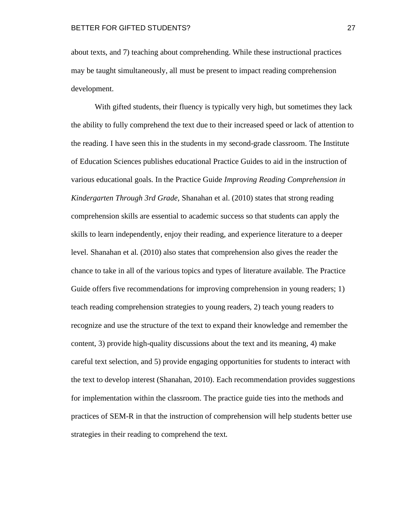about texts, and 7) teaching about comprehending. While these instructional practices may be taught simultaneously, all must be present to impact reading comprehension development.

With gifted students, their fluency is typically very high, but sometimes they lack the ability to fully comprehend the text due to their increased speed or lack of attention to the reading. I have seen this in the students in my second-grade classroom. The Institute of Education Sciences publishes educational Practice Guides to aid in the instruction of various educational goals. In the Practice Guide *Improving Reading Comprehension in Kindergarten Through 3rd Grade,* Shanahan et al. (2010) states that strong reading comprehension skills are essential to academic success so that students can apply the skills to learn independently, enjoy their reading, and experience literature to a deeper level. Shanahan et al. (2010) also states that comprehension also gives the reader the chance to take in all of the various topics and types of literature available. The Practice Guide offers five recommendations for improving comprehension in young readers; 1) teach reading comprehension strategies to young readers, 2) teach young readers to recognize and use the structure of the text to expand their knowledge and remember the content, 3) provide high-quality discussions about the text and its meaning, 4) make careful text selection, and 5) provide engaging opportunities for students to interact with the text to develop interest (Shanahan, 2010). Each recommendation provides suggestions for implementation within the classroom. The practice guide ties into the methods and practices of SEM-R in that the instruction of comprehension will help students better use strategies in their reading to comprehend the text.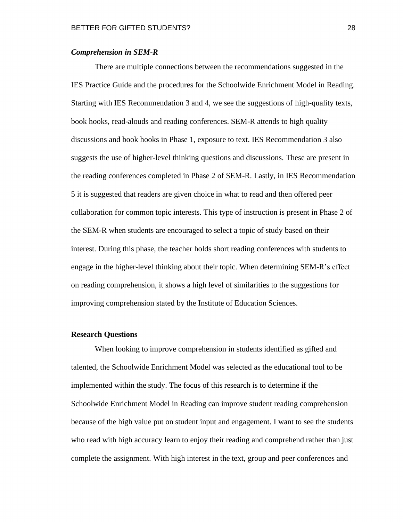#### <span id="page-28-0"></span>*Comprehension in SEM-R*

There are multiple connections between the recommendations suggested in the IES Practice Guide and the procedures for the Schoolwide Enrichment Model in Reading. Starting with IES Recommendation 3 and 4, we see the suggestions of high-quality texts, book hooks, read-alouds and reading conferences. SEM-R attends to high quality discussions and book hooks in Phase 1, exposure to text. IES Recommendation 3 also suggests the use of higher-level thinking questions and discussions. These are present in the reading conferences completed in Phase 2 of SEM-R. Lastly, in IES Recommendation 5 it is suggested that readers are given choice in what to read and then offered peer collaboration for common topic interests. This type of instruction is present in Phase 2 of the SEM-R when students are encouraged to select a topic of study based on their interest. During this phase, the teacher holds short reading conferences with students to engage in the higher-level thinking about their topic. When determining SEM-R's effect on reading comprehension, it shows a high level of similarities to the suggestions for improving comprehension stated by the Institute of Education Sciences.

#### <span id="page-28-1"></span>**Research Questions**

When looking to improve comprehension in students identified as gifted and talented, the Schoolwide Enrichment Model was selected as the educational tool to be implemented within the study. The focus of this research is to determine if the Schoolwide Enrichment Model in Reading can improve student reading comprehension because of the high value put on student input and engagement. I want to see the students who read with high accuracy learn to enjoy their reading and comprehend rather than just complete the assignment. With high interest in the text, group and peer conferences and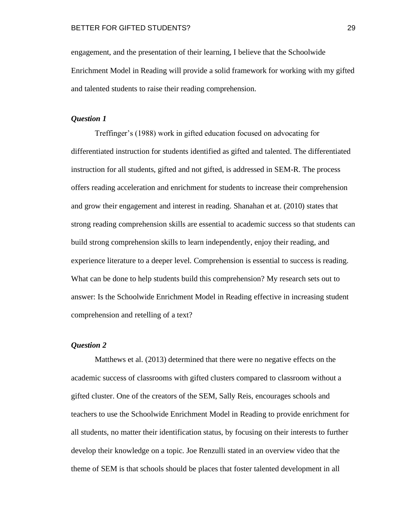engagement, and the presentation of their learning, I believe that the Schoolwide Enrichment Model in Reading will provide a solid framework for working with my gifted and talented students to raise their reading comprehension.

### <span id="page-29-0"></span>*Question 1*

Treffinger's (1988) work in gifted education focused on advocating for differentiated instruction for students identified as gifted and talented. The differentiated instruction for all students, gifted and not gifted, is addressed in SEM-R. The process offers reading acceleration and enrichment for students to increase their comprehension and grow their engagement and interest in reading. Shanahan et at. (2010) states that strong reading comprehension skills are essential to academic success so that students can build strong comprehension skills to learn independently, enjoy their reading, and experience literature to a deeper level. Comprehension is essential to success is reading. What can be done to help students build this comprehension? My research sets out to answer: Is the Schoolwide Enrichment Model in Reading effective in increasing student comprehension and retelling of a text?

## <span id="page-29-1"></span>*Question 2*

Matthews et al. (2013) determined that there were no negative effects on the academic success of classrooms with gifted clusters compared to classroom without a gifted cluster. One of the creators of the SEM, Sally Reis, encourages schools and teachers to use the Schoolwide Enrichment Model in Reading to provide enrichment for all students, no matter their identification status, by focusing on their interests to further develop their knowledge on a topic. Joe Renzulli stated in an overview video that the theme of SEM is that schools should be places that foster talented development in all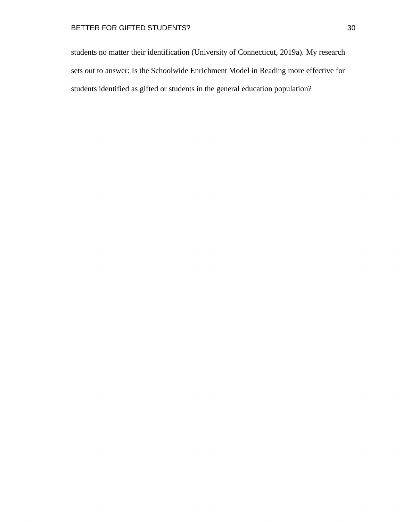students no matter their identification (University of Connecticut, 2019a). My research sets out to answer: Is the Schoolwide Enrichment Model in Reading more effective for students identified as gifted or students in the general education population?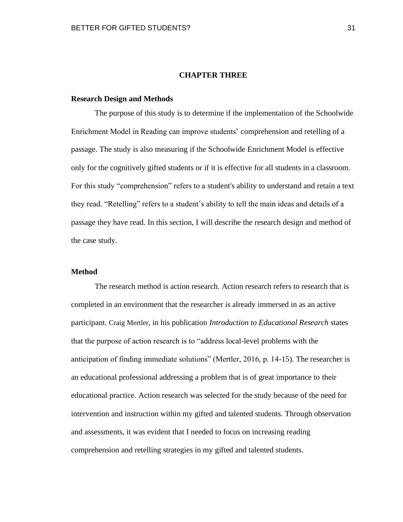#### **CHAPTER THREE**

#### <span id="page-31-1"></span><span id="page-31-0"></span>**Research Design and Methods**

The purpose of this study is to determine if the implementation of the Schoolwide Enrichment Model in Reading can improve students' comprehension and retelling of a passage. The study is also measuring if the Schoolwide Enrichment Model is effective only for the cognitively gifted students or if it is effective for all students in a classroom. For this study "comprehension" refers to a student's ability to understand and retain a text they read. "Retelling" refers to a student's ability to tell the main ideas and details of a passage they have read. In this section, I will describe the research design and method of the case study.

## <span id="page-31-2"></span>**Method**

The research method is action research. Action research refers to research that is completed in an environment that the researcher is already immersed in as an active participant. Craig Mertler, in his publication *Introduction to Educational Research* states that the purpose of action research is to "address local-level problems with the anticipation of finding immediate solutions" (Mertler, 2016, p. 14-15). The researcher is an educational professional addressing a problem that is of great importance to their educational practice. Action research was selected for the study because of the need for intervention and instruction within my gifted and talented students. Through observation and assessments, it was evident that I needed to focus on increasing reading comprehension and retelling strategies in my gifted and talented students.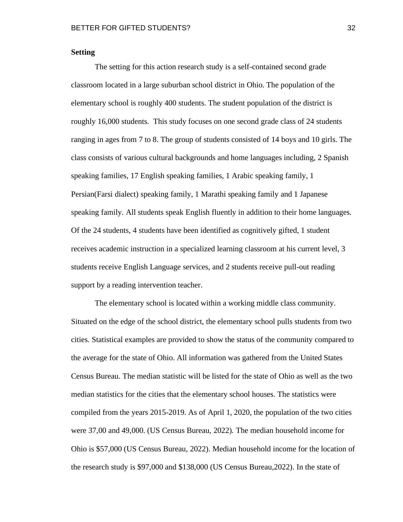## <span id="page-32-0"></span>**Setting**

The setting for this action research study is a self-contained second grade classroom located in a large suburban school district in Ohio. The population of the elementary school is roughly 400 students. The student population of the district is roughly 16,000 students. This study focuses on one second grade class of 24 students ranging in ages from 7 to 8. The group of students consisted of 14 boys and 10 girls. The class consists of various cultural backgrounds and home languages including, 2 Spanish speaking families, 17 English speaking families, 1 Arabic speaking family, 1 Persian(Farsi dialect) speaking family, 1 Marathi speaking family and 1 Japanese speaking family. All students speak English fluently in addition to their home languages. Of the 24 students, 4 students have been identified as cognitively gifted, 1 student receives academic instruction in a specialized learning classroom at his current level, 3 students receive English Language services, and 2 students receive pull-out reading support by a reading intervention teacher.

The elementary school is located within a working middle class community. Situated on the edge of the school district, the elementary school pulls students from two cities. Statistical examples are provided to show the status of the community compared to the average for the state of Ohio. All information was gathered from the United States Census Bureau. The median statistic will be listed for the state of Ohio as well as the two median statistics for the cities that the elementary school houses. The statistics were compiled from the years 2015-2019. As of April 1, 2020, the population of the two cities were 37,00 and 49,000. (US Census Bureau, 2022). The median household income for Ohio is \$57,000 (US Census Bureau, 2022). Median household income for the location of the research study is \$97,000 and \$138,000 (US Census Bureau,2022). In the state of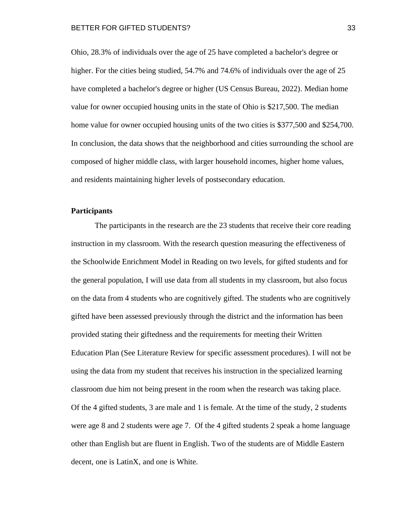Ohio, 28.3% of individuals over the age of 25 have completed a bachelor's degree or higher. For the cities being studied, 54.7% and 74.6% of individuals over the age of 25 have completed a bachelor's degree or higher (US Census Bureau, 2022). Median home value for owner occupied housing units in the state of Ohio is \$217,500. The median home value for owner occupied housing units of the two cities is \$377,500 and \$254,700. In conclusion, the data shows that the neighborhood and cities surrounding the school are composed of higher middle class, with larger household incomes, higher home values, and residents maintaining higher levels of postsecondary education.

#### <span id="page-33-0"></span>**Participants**

The participants in the research are the 23 students that receive their core reading instruction in my classroom. With the research question measuring the effectiveness of the Schoolwide Enrichment Model in Reading on two levels, for gifted students and for the general population, I will use data from all students in my classroom, but also focus on the data from 4 students who are cognitively gifted. The students who are cognitively gifted have been assessed previously through the district and the information has been provided stating their giftedness and the requirements for meeting their Written Education Plan (See Literature Review for specific assessment procedures). I will not be using the data from my student that receives his instruction in the specialized learning classroom due him not being present in the room when the research was taking place. Of the 4 gifted students, 3 are male and 1 is female. At the time of the study, 2 students were age 8 and 2 students were age 7. Of the 4 gifted students 2 speak a home language other than English but are fluent in English. Two of the students are of Middle Eastern decent, one is LatinX, and one is White.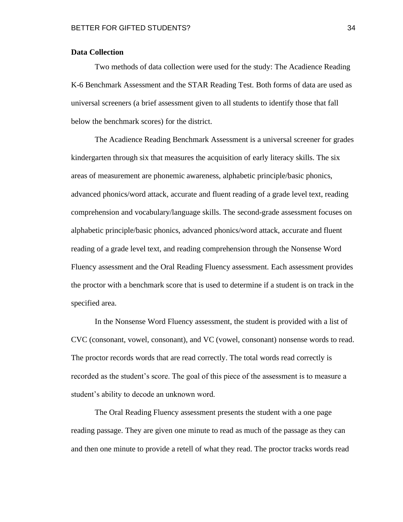### <span id="page-34-0"></span>**Data Collection**

Two methods of data collection were used for the study: The Acadience Reading K-6 Benchmark Assessment and the STAR Reading Test. Both forms of data are used as universal screeners (a brief assessment given to all students to identify those that fall below the benchmark scores) for the district.

The Acadience Reading Benchmark Assessment is a universal screener for grades kindergarten through six that measures the acquisition of early literacy skills. The six areas of measurement are phonemic awareness, alphabetic principle/basic phonics, advanced phonics/word attack, accurate and fluent reading of a grade level text, reading comprehension and vocabulary/language skills. The second-grade assessment focuses on alphabetic principle/basic phonics, advanced phonics/word attack, accurate and fluent reading of a grade level text, and reading comprehension through the Nonsense Word Fluency assessment and the Oral Reading Fluency assessment. Each assessment provides the proctor with a benchmark score that is used to determine if a student is on track in the specified area.

In the Nonsense Word Fluency assessment, the student is provided with a list of CVC (consonant, vowel, consonant), and VC (vowel, consonant) nonsense words to read. The proctor records words that are read correctly. The total words read correctly is recorded as the student's score. The goal of this piece of the assessment is to measure a student's ability to decode an unknown word.

The Oral Reading Fluency assessment presents the student with a one page reading passage. They are given one minute to read as much of the passage as they can and then one minute to provide a retell of what they read. The proctor tracks words read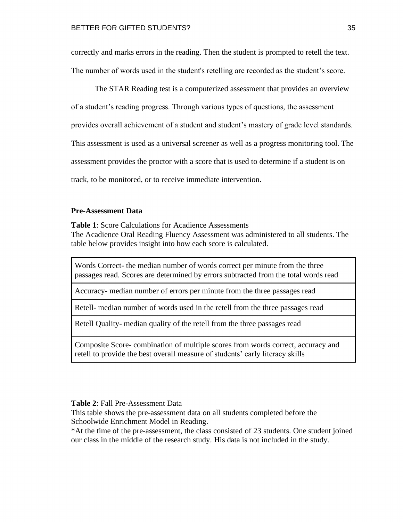correctly and marks errors in the reading. Then the student is prompted to retell the text. The number of words used in the student's retelling are recorded as the student's score.

The STAR Reading test is a computerized assessment that provides an overview of a student's reading progress. Through various types of questions, the assessment provides overall achievement of a student and student's mastery of grade level standards. This assessment is used as a universal screener as well as a progress monitoring tool. The assessment provides the proctor with a score that is used to determine if a student is on track, to be monitored, or to receive immediate intervention.

## <span id="page-35-0"></span>**Pre-Assessment Data**

**Table 1**: Score Calculations for Acadience Assessments The Acadience Oral Reading Fluency Assessment was administered to all students. The table below provides insight into how each score is calculated.

Words Correct- the median number of words correct per minute from the three passages read. Scores are determined by errors subtracted from the total words read

Accuracy- median number of errors per minute from the three passages read

Retell- median number of words used in the retell from the three passages read

Retell Quality- median quality of the retell from the three passages read

Composite Score- combination of multiple scores from words correct, accuracy and retell to provide the best overall measure of students' early literacy skills

#### **Table 2**: Fall Pre-Assessment Data

This table shows the pre-assessment data on all students completed before the Schoolwide Enrichment Model in Reading.

\*At the time of the pre-assessment, the class consisted of 23 students. One student joined our class in the middle of the research study. His data is not included in the study.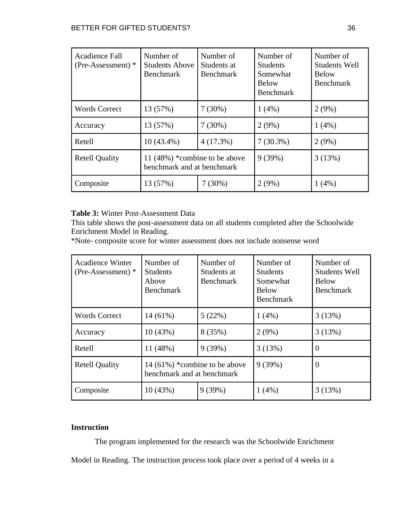| Acadience Fall<br>$(Pre-Assessment)*$ | Number of<br><b>Students Above</b><br><b>Benchmark</b>        | Number of<br>Students at<br><b>Benchmark</b> | Number of<br><b>Students</b><br>Somewhat<br><b>Below</b><br><b>Benchmark</b> | Number of<br><b>Students Well</b><br><b>Below</b><br><b>Benchmark</b> |
|---------------------------------------|---------------------------------------------------------------|----------------------------------------------|------------------------------------------------------------------------------|-----------------------------------------------------------------------|
| <b>Words Correct</b>                  | 13 (57%)                                                      | 7(30%)                                       | 1(4%)                                                                        | 2(9%)                                                                 |
| Accuracy                              | 13 (57%)                                                      | 7(30%)                                       | 2(9%)                                                                        | 1(4%)                                                                 |
| Retell                                | $10(43.4\%)$                                                  | 4(17.3%)                                     | $7(30.3\%)$                                                                  | 2(9%)                                                                 |
| <b>Retell Quality</b>                 | 11 $(48%)$ *combine to be above<br>benchmark and at benchmark |                                              | 9(39%)                                                                       | 3(13%)                                                                |
| Composite                             | 13 (57%)                                                      | $7(30\%)$                                    | 2(9%)                                                                        | 1(4%)                                                                 |

## **Table 3:** Winter Post-Assessment Data

This table shows the post-assessment data on all students completed after the Schoolwide Enrichment Model in Reading.

\*Note- composite score for winter assessment does not include nonsense word

| <b>Acadience Winter</b><br>$(Pre-Assessment)*$ | Number of<br><b>Students</b><br>Above<br><b>Benchmark</b>      | Number of<br>Students at<br><b>Benchmark</b> | Number of<br><b>Students</b><br>Somewhat<br><b>Below</b><br><b>Benchmark</b> | Number of<br><b>Students Well</b><br><b>Below</b><br><b>Benchmark</b> |
|------------------------------------------------|----------------------------------------------------------------|----------------------------------------------|------------------------------------------------------------------------------|-----------------------------------------------------------------------|
| <b>Words Correct</b>                           | $14(61\%)$                                                     | 5(22%)                                       | 1(4%)                                                                        | 3(13%)                                                                |
| Accuracy                                       | 10(43%)                                                        | 8 (35%)                                      | 2(9%)                                                                        | 3(13%)                                                                |
| Retell                                         | 11 (48%)                                                       | 9(39%)                                       | 3(13%)                                                                       | $\overline{0}$                                                        |
| <b>Retell Quality</b>                          | 14 $(61\%)$ *combine to be above<br>benchmark and at benchmark |                                              | 9(39%)                                                                       | $\overline{0}$                                                        |
| Composite                                      | 10(43%)                                                        | 9(39%)                                       | 1(4%)                                                                        | 3(13%)                                                                |

## <span id="page-36-0"></span>**Instruction**

The program implemented for the research was the Schoolwide Enrichment Model in Reading. The instruction process took place over a period of 4 weeks in a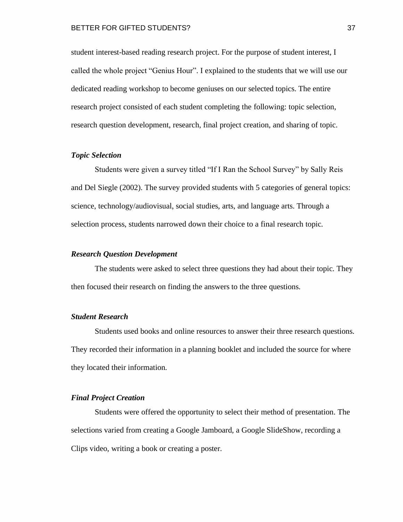student interest-based reading research project. For the purpose of student interest, I called the whole project "Genius Hour". I explained to the students that we will use our dedicated reading workshop to become geniuses on our selected topics. The entire research project consisted of each student completing the following: topic selection, research question development, research, final project creation, and sharing of topic.

#### <span id="page-37-0"></span>*Topic Selection*

Students were given a survey titled "If I Ran the School Survey" by Sally Reis and Del Siegle (2002). The survey provided students with 5 categories of general topics: science, technology/audiovisual, social studies, arts, and language arts. Through a selection process, students narrowed down their choice to a final research topic.

#### <span id="page-37-1"></span>*Research Question Development*

The students were asked to select three questions they had about their topic. They then focused their research on finding the answers to the three questions.

## <span id="page-37-2"></span>*Student Research*

Students used books and online resources to answer their three research questions. They recorded their information in a planning booklet and included the source for where they located their information.

#### <span id="page-37-3"></span>*Final Project Creation*

Students were offered the opportunity to select their method of presentation. The selections varied from creating a Google Jamboard, a Google SlideShow, recording a Clips video, writing a book or creating a poster.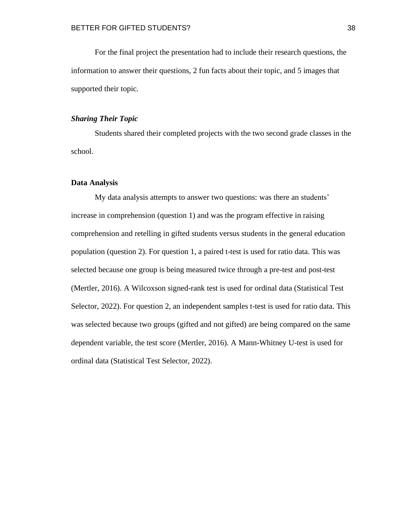For the final project the presentation had to include their research questions, the information to answer their questions, 2 fun facts about their topic, and 5 images that supported their topic.

## <span id="page-38-0"></span>*Sharing Their Topic*

Students shared their completed projects with the two second grade classes in the school.

### <span id="page-38-1"></span>**Data Analysis**

My data analysis attempts to answer two questions: was there an students' increase in comprehension (question 1) and was the program effective in raising comprehension and retelling in gifted students versus students in the general education population (question 2). For question 1, a paired t-test is used for ratio data. This was selected because one group is being measured twice through a pre-test and post-test (Mertler, 2016). A Wilcoxson signed-rank test is used for ordinal data (Statistical Test Selector, 2022). For question 2, an independent samples t-test is used for ratio data. This was selected because two groups (gifted and not gifted) are being compared on the same dependent variable, the test score (Mertler, 2016). A Mann-Whitney U-test is used for ordinal data (Statistical Test Selector, 2022).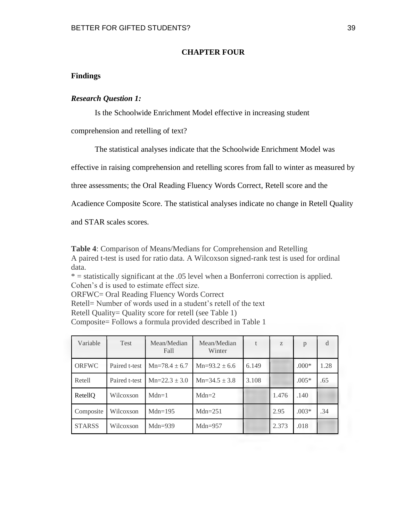## **CHAPTER FOUR**

## <span id="page-39-1"></span><span id="page-39-0"></span>**Findings**

## <span id="page-39-2"></span>*Research Question 1:*

Is the Schoolwide Enrichment Model effective in increasing student

comprehension and retelling of text?

The statistical analyses indicate that the Schoolwide Enrichment Model was

effective in raising comprehension and retelling scores from fall to winter as measured by

three assessments; the Oral Reading Fluency Words Correct, Retell score and the

Acadience Composite Score. The statistical analyses indicate no change in Retell Quality

and STAR scales scores.

**Table 4**: Comparison of Means/Medians for Comprehension and Retelling A paired t-test is used for ratio data. A Wilcoxson signed-rank test is used for ordinal data.

\* = statistically significant at the .05 level when a Bonferroni correction is applied. Cohen's d is used to estimate effect size.

ORFWC= Oral Reading Fluency Words Correct

Retell= Number of words used in a student's retell of the text

Retell Quality= Quality score for retell (see Table 1)

Composite= Follows a formula provided described in Table 1

| Variable      | Test          | Mean/Median<br>Fall | Mean/Median<br>Winter |       | Z     | p       | d    |
|---------------|---------------|---------------------|-----------------------|-------|-------|---------|------|
| ORFWC         | Paired t-test | $Mn=78.4 \pm 6.7$   | $Mn=93.2 \pm 6.6$     | 6.149 |       | $.000*$ | 1.28 |
| Retell        | Paired t-test | $Mn=22.3 \pm 3.0$   | $Mn=34.5 \pm 3.8$     | 3.108 |       | $.005*$ | .65  |
| RetellQ       | Wilcoxson     | $Mdn=1$             | $Mdn=2$               |       | 1.476 | .140    |      |
| Composite     | Wilcoxson     | $Mdn=195$           | $Mdn=251$             |       | 2.95  | $.003*$ | .34  |
| <b>STARSS</b> | Wilcoxson     | Mdn=939             | $Mdn=957$             |       | 2.373 | .018    |      |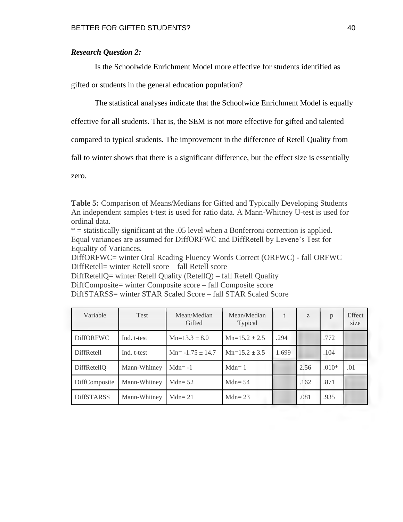## <span id="page-40-0"></span>*Research Question 2:*

Is the Schoolwide Enrichment Model more effective for students identified as

gifted or students in the general education population?

The statistical analyses indicate that the Schoolwide Enrichment Model is equally

effective for all students. That is, the SEM is not more effective for gifted and talented

compared to typical students. The improvement in the difference of Retell Quality from

fall to winter shows that there is a significant difference, but the effect size is essentially

zero.

**Table 5:** Comparison of Means/Medians for Gifted and Typically Developing Students An independent samples t-test is used for ratio data. A Mann-Whitney U-test is used for ordinal data.

\* = statistically significant at the .05 level when a Bonferroni correction is applied. Equal variances are assumed for DiffORFWC and DiffRetell by Levene's Test for Equality of Variances.

DiffORFWC= winter Oral Reading Fluency Words Correct (ORFWC) - fall ORFWC DiffRetell= winter Retell score – fall Retell score

DiffRetellQ= winter Retell Quality (RetellQ) – fall Retell Quality

DiffComposite= winter Composite score – fall Composite score DiffSTARSS= winter STAR Scaled Score – fall STAR Scaled Score

| Variable          | Test         | Mean/Median<br>Gifted | Mean/Median<br>Typical |       | Z    | p       | Effect<br>size |
|-------------------|--------------|-----------------------|------------------------|-------|------|---------|----------------|
| <b>DiffORFWC</b>  | Ind. t-test  | $Mn=13.3 \pm 8.0$     | $Mn=15.2 \pm 2.5$      | .294  |      | .772    |                |
| DiffRetell        | Ind. t-test  | $Mn = -1.75 \pm 14.7$ | $Mn=15.2 \pm 3.5$      | 1.699 |      | .104    |                |
| DiffRetellQ       | Mann-Whitney | $Mdn = -1$            | $Mdn=1$                |       | 2.56 | $.010*$ | .01            |
| DiffComposite     | Mann-Whitney | Mdn= $52$             | $Mdn = 54$             |       | .162 | .871    |                |
| <b>DiffSTARSS</b> | Mann-Whitney | $Mdn = 21$            | $Mdn = 23$             |       | .081 | .935    |                |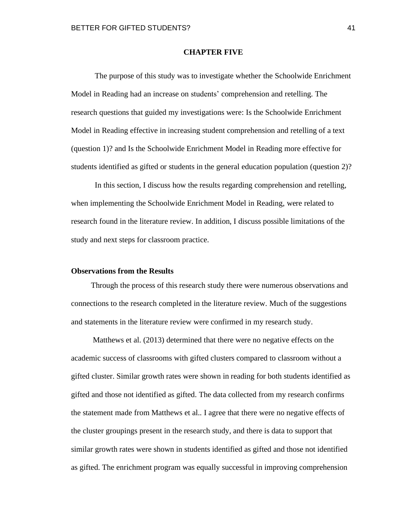#### **CHAPTER FIVE**

<span id="page-41-0"></span>The purpose of this study was to investigate whether the Schoolwide Enrichment Model in Reading had an increase on students' comprehension and retelling. The research questions that guided my investigations were: Is the Schoolwide Enrichment Model in Reading effective in increasing student comprehension and retelling of a text (question 1)? and Is the Schoolwide Enrichment Model in Reading more effective for students identified as gifted or students in the general education population (question 2)?

In this section, I discuss how the results regarding comprehension and retelling, when implementing the Schoolwide Enrichment Model in Reading, were related to research found in the literature review. In addition, I discuss possible limitations of the study and next steps for classroom practice.

#### <span id="page-41-1"></span>**Observations from the Results**

Through the process of this research study there were numerous observations and connections to the research completed in the literature review. Much of the suggestions and statements in the literature review were confirmed in my research study.

Matthews et al. (2013) determined that there were no negative effects on the academic success of classrooms with gifted clusters compared to classroom without a gifted cluster. Similar growth rates were shown in reading for both students identified as gifted and those not identified as gifted. The data collected from my research confirms the statement made from Matthews et al.. I agree that there were no negative effects of the cluster groupings present in the research study, and there is data to support that similar growth rates were shown in students identified as gifted and those not identified as gifted. The enrichment program was equally successful in improving comprehension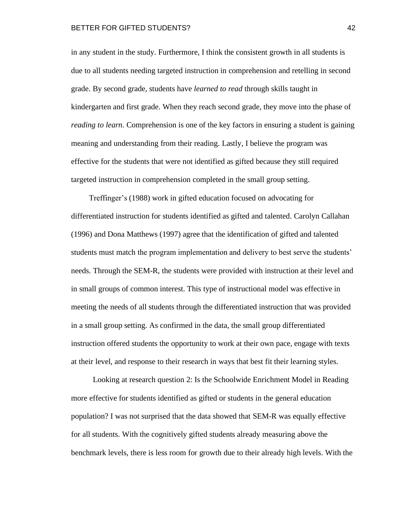in any student in the study. Furthermore, I think the consistent growth in all students is due to all students needing targeted instruction in comprehension and retelling in second grade. By second grade, students have *learned to read* through skills taught in kindergarten and first grade. When they reach second grade, they move into the phase of *reading to learn*. Comprehension is one of the key factors in ensuring a student is gaining meaning and understanding from their reading. Lastly, I believe the program was effective for the students that were not identified as gifted because they still required targeted instruction in comprehension completed in the small group setting.

Treffinger's (1988) work in gifted education focused on advocating for differentiated instruction for students identified as gifted and talented. Carolyn Callahan (1996) and Dona Matthews (1997) agree that the identification of gifted and talented students must match the program implementation and delivery to best serve the students' needs. Through the SEM-R, the students were provided with instruction at their level and in small groups of common interest. This type of instructional model was effective in meeting the needs of all students through the differentiated instruction that was provided in a small group setting. As confirmed in the data, the small group differentiated instruction offered students the opportunity to work at their own pace, engage with texts at their level, and response to their research in ways that best fit their learning styles.

Looking at research question 2: Is the Schoolwide Enrichment Model in Reading more effective for students identified as gifted or students in the general education population? I was not surprised that the data showed that SEM-R was equally effective for all students. With the cognitively gifted students already measuring above the benchmark levels, there is less room for growth due to their already high levels. With the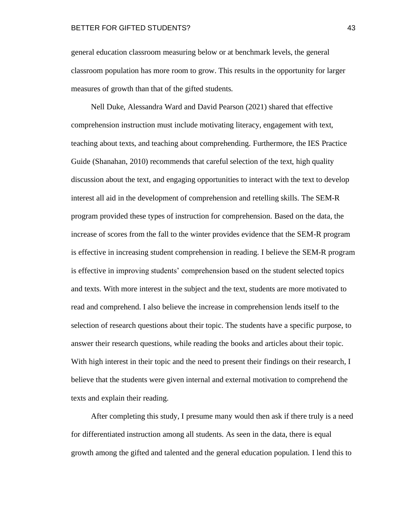general education classroom measuring below or at benchmark levels, the general classroom population has more room to grow. This results in the opportunity for larger measures of growth than that of the gifted students.

Nell Duke, Alessandra Ward and David Pearson (2021) shared that effective comprehension instruction must include motivating literacy, engagement with text, teaching about texts, and teaching about comprehending. Furthermore, the IES Practice Guide (Shanahan, 2010) recommends that careful selection of the text, high quality discussion about the text, and engaging opportunities to interact with the text to develop interest all aid in the development of comprehension and retelling skills. The SEM-R program provided these types of instruction for comprehension. Based on the data, the increase of scores from the fall to the winter provides evidence that the SEM-R program is effective in increasing student comprehension in reading. I believe the SEM-R program is effective in improving students' comprehension based on the student selected topics and texts. With more interest in the subject and the text, students are more motivated to read and comprehend. I also believe the increase in comprehension lends itself to the selection of research questions about their topic. The students have a specific purpose, to answer their research questions, while reading the books and articles about their topic. With high interest in their topic and the need to present their findings on their research, I believe that the students were given internal and external motivation to comprehend the texts and explain their reading.

After completing this study, I presume many would then ask if there truly is a need for differentiated instruction among all students. As seen in the data, there is equal growth among the gifted and talented and the general education population. I lend this to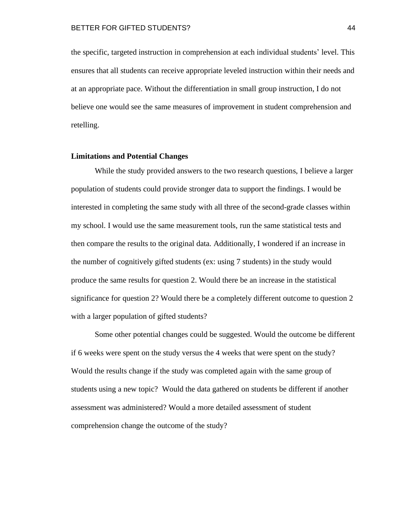the specific, targeted instruction in comprehension at each individual students' level. This ensures that all students can receive appropriate leveled instruction within their needs and at an appropriate pace. Without the differentiation in small group instruction, I do not believe one would see the same measures of improvement in student comprehension and retelling.

#### <span id="page-44-0"></span>**Limitations and Potential Changes**

While the study provided answers to the two research questions, I believe a larger population of students could provide stronger data to support the findings. I would be interested in completing the same study with all three of the second-grade classes within my school. I would use the same measurement tools, run the same statistical tests and then compare the results to the original data. Additionally, I wondered if an increase in the number of cognitively gifted students (ex: using 7 students) in the study would produce the same results for question 2. Would there be an increase in the statistical significance for question 2? Would there be a completely different outcome to question 2 with a larger population of gifted students?

Some other potential changes could be suggested. Would the outcome be different if 6 weeks were spent on the study versus the 4 weeks that were spent on the study? Would the results change if the study was completed again with the same group of students using a new topic? Would the data gathered on students be different if another assessment was administered? Would a more detailed assessment of student comprehension change the outcome of the study?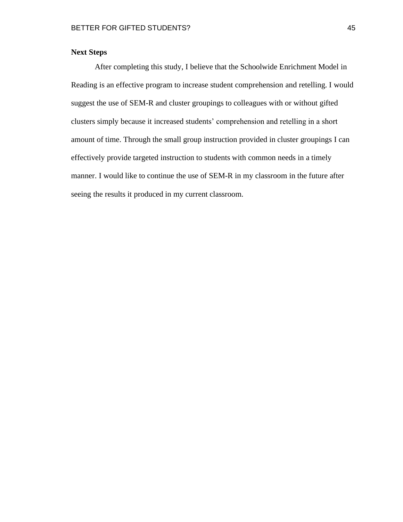## <span id="page-45-0"></span>**Next Steps**

After completing this study, I believe that the Schoolwide Enrichment Model in Reading is an effective program to increase student comprehension and retelling. I would suggest the use of SEM-R and cluster groupings to colleagues with or without gifted clusters simply because it increased students' comprehension and retelling in a short amount of time. Through the small group instruction provided in cluster groupings I can effectively provide targeted instruction to students with common needs in a timely manner. I would like to continue the use of SEM-R in my classroom in the future after seeing the results it produced in my current classroom.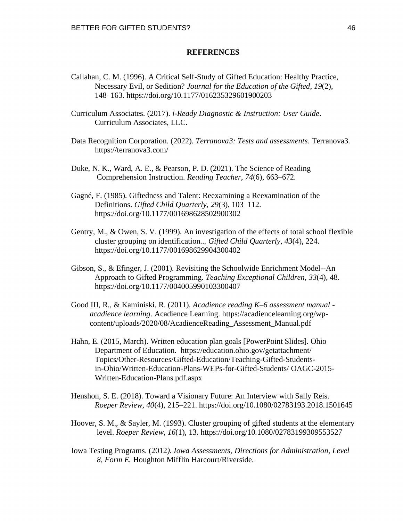### **REFERENCES**

- <span id="page-46-0"></span>Callahan, C. M. (1996). A Critical Self-Study of Gifted Education: Healthy Practice, Necessary Evil, or Sedition? *Journal for the Education of the Gifted*, *19*(2), 148–163.<https://doi.org/10.1177/016235329601900203>
- Curriculum Associates. (2017). *i-Ready Diagnostic & Instruction: User Guide*. Curriculum Associates, LLC.
- Data Recognition Corporation. (2022). *Terranova3: Tests and assessments*. Terranova3. <https://terranova3.com>/
- Duke, N. K., Ward, A. E., & Pearson, P. D. (2021). The Science of Reading Comprehension Instruction. *Reading Teacher*, *74*(6), 663–672.
- Gagné, F. (1985). Giftedness and Talent: Reexamining a Reexamination of the Definitions. *Gifted Child Quarterly*, *29*(3), 103–112. <https://doi.org/10.1177/001698628502900302>
- Gentry, M., & Owen, S. V. (1999). An investigation of the effects of total school flexible cluster grouping on identification... *Gifted Child Quarterly*, *43*(4), 224. <https://doi.org/10.1177/001698629904300402>
- Gibson, S., & Efinger, J. (2001). Revisiting the Schoolwide Enrichment Model--An Approach to Gifted Programming. *Teaching Exceptional Children*, *33*(4), 48. <https://doi.org/10.1177/004005990103300407>
- Good III, R., & Kaminiski, R. (2011). *Acadience reading K–6 assessment manual acadience learning*. Acadience Learning. <https://acadiencelearning.org/wp>content/uploads/2020/08/AcadienceReading\_Assessment\_Manual.pdf
- Hahn, E. (2015, March). Written education plan goals [PowerPoint Slides]. Ohio Department of Education. <https://education.ohio.gov/getattachment>/ Topics/Other-Resources/Gifted-Education/Teaching-Gifted-Studentsin-Ohio/Written-Education-Plans-WEPs-for-Gifted-Students/ OAGC-2015- Written-Education-Plans.pdf.aspx
- Henshon, S. E. (2018). Toward a Visionary Future: An Interview with Sally Reis. *Roeper Review, 40*(4), 215–221. <https://doi.org/10.1080/02783193.2018.1501645>
- Hoover, S. M., & Sayler, M. (1993). Cluster grouping of gifted students at the elementary level. *Roeper Review, 16*(1), 13. <https://doi.org/10.1080/02783199309553527>
- Iowa Testing Programs. (2012*). Iowa Assessments, Directions for Administration, Level 8, Form E.* Houghton Mifflin Harcourt/Riverside.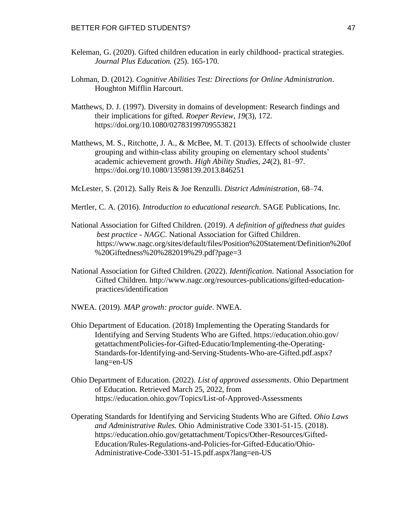- Keleman, G. (2020). Gifted children education in early childhood- practical strategies. *Journal Plus Education.* (25). 165-170.
- Lohman, D. (2012). *Cognitive Abilities Test: Directions for Online Administration*. Houghton Mifflin Harcourt.
- Matthews, D. J. (1997). Diversity in domains of development: Research findings and their implications for gifted. *Roeper Review*, *19*(3), 172. <https://doi.org/10.1080/02783199709553821>
- Matthews, M. S., Ritchotte, J. A., & McBee, M. T. (2013). Effects of schoolwide cluster grouping and within-class ability grouping on elementary school students' academic achievement growth. *High Ability Studies, 24*(2), 81–97. <https://doi.org/10.1080/13598139.2013.846251>
- McLester, S. (2012). Sally Reis & Joe Renzulli. *District Administration*, 68–74.
- Mertler, C. A. (2016). *Introduction to educational research*. SAGE Publications, Inc.
- National Association for Gifted Children. (2019). *A definition of giftedness that guides best practice - NAGC*. National Association for Gifted Children. <https://www.nagc.org/sites/default/files/Position%20Statement/Definition%20of> %20Giftedness%20%282019%29.pdf?page=3
- National Association for Gifted Children. (2022). *Identification*. National Association for Gifted Children.<http://www.nagc.org/resources-publications/gifted-education>practices/identification
- NWEA. (2019). *MAP growth: proctor guide*. NWEA.
- Ohio Department of Education. (2018) Implementing the Operating Standards for Identifying and Serving Students Who are Gifted. <https://education.ohio.gov>/ getattachmentPolicies-for-Gifted-Educatio/Implementing-the-Operating-Standards-for-Identifying-and-Serving-Students-Who-are-Gifted.pdf.aspx? lang=en-US
- Ohio Department of Education. (2022). *List of approved assessments*. Ohio Department of Education. Retrieved March 25, 2022, from <https://education.ohio.gov/Topics/List-of-Approved-Assessments>
- Operating Standards for Identifying and Servicing Students Who are Gifted. *Ohio Laws and Administrative Rules.* Ohio Administrative Code 3301-51-15. (2018). [https://education.ohio.gov/getattachment/Topics/Other-Resources/Gifted-](https://education.ohio.gov/getattachment/Topics/Other-Resources/Gifted)Education/Rules-Regulations-and-Policies-for-Gifted-Educatio/Ohio-Administrative-Code-3301-51-15.pdf.aspx?lang=en-US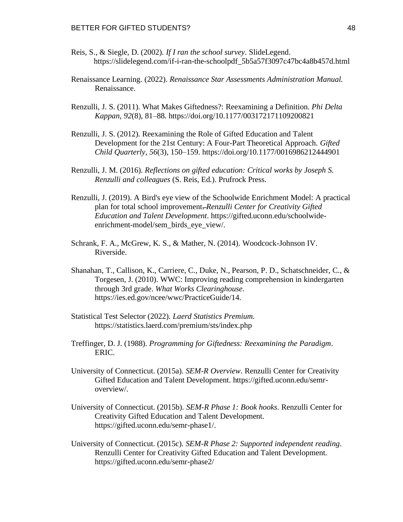- Reis, S., & Siegle, D. (2002). *If I ran the school survey*. SlideLegend. [https://slidelegend.com/if-i-ran-the-schoolpdf\\_5b5a57f3097c47bc4a8b457d.html](https://slidelegend.com/if-i-ran-the-schoolpdf_5b5a57f3097c47bc4a8b457d.html)
- Renaissance Learning. (2022). *Renaissance Star Assessments Administration Manual.*  Renaissance.
- Renzulli, J. S. (2011). What Makes Giftedness?: Reexamining a Definition. *Phi Delta Kappan*, *92*(8), 81–88.<https://doi.org/10.1177/003172171109200821>
- Renzulli, J. S. (2012). Reexamining the Role of Gifted Education and Talent Development for the 21st Century: A Four-Part Theoretical Approach. *Gifted Child Quarterly*, *56*(3), 150–159.<https://doi.org/10.1177/0016986212444901>
- Renzulli, J. M. (2016). *Reflections on gifted education: Critical works by Joseph S. Renzulli and colleagues* (S. Reis, Ed.). Prufrock Press.
- Renzulli, J. (2019). A Bird's eye view of the Schoolwide Enrichment Model: A practical plan for total school improvement-Renzulli Center for Creativity Gifted *Education and Talent Development*. <https://gifted.uconn.edu/schoolwide>enrichment-model/sem\_birds\_eye\_view/.
- Schrank, F. A., McGrew, K. S., & Mather, N. (2014). Woodcock-Johnson IV. Riverside.
- Shanahan, T., Callison, K., Carriere, C., Duke, N., Pearson, P. D., Schatschneider, C., & Torgesen, J. (2010). WWC: Improving reading comprehension in kindergarten through 3rd grade. *What Works Clearinghouse*. [https://ies.ed.gov/ncee/wwc/PracticeGuide/14.](https://ies.ed.gov/ncee/wwc/PracticeGuide/14)
- Statistical Test Selector (2022). *Laerd Statistics Premium.*  <https://statistics.laerd.com/premium/sts/index.php>
- Treffinger, D. J. (1988). *Programming for Giftedness: Reexamining the Paradigm*. ERIC.
- University of Connecticut. (2015a). *SEM-R Overview*. Renzulli Center for Creativity Gifted Education and Talent Development. <https://gifted.uconn.edu/semr>overview/.
- University of Connecticut. (2015b). *SEM-R Phase 1: Book hooks*. Renzulli Center for Creativity Gifted Education and Talent Development. [https://gifted.uconn.edu/semr-phase1/](https://gifted.uconn.edu/semr-phase1).
- University of Connecticut. (2015c). *SEM-R Phase 2: Supported independent reading*. Renzulli Center for Creativity Gifted Education and Talent Development. [https://gifted.uconn.edu/semr-phase2/](https://gifted.uconn.edu/semr-phase2)